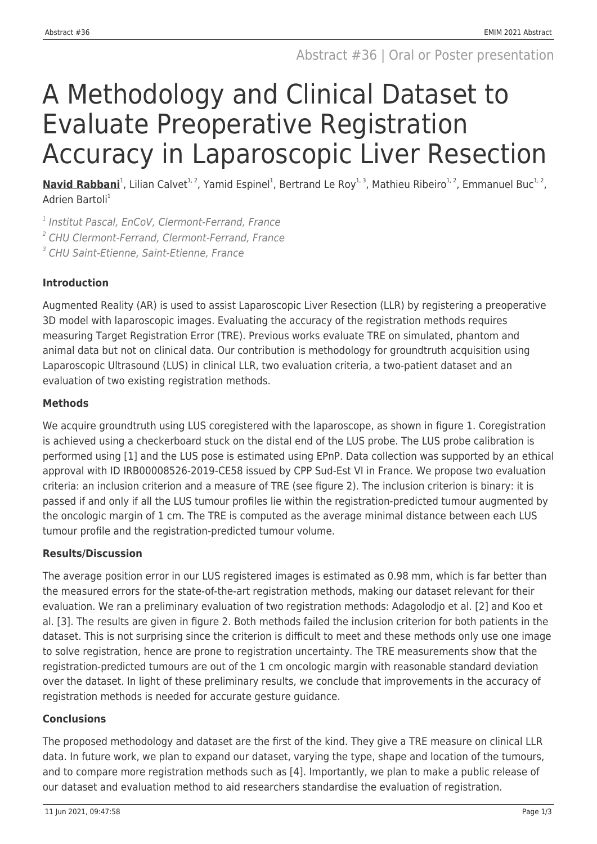# A Methodology and Clinical Dataset to Evaluate Preoperative Registration Accuracy in Laparoscopic Liver Resection

Navid Rabbani<sup>1</sup>, Lilian Calvet<sup>1, 2</sup>, Yamid Espinel<sup>1</sup>, Bertrand Le Roy<sup>1, 3</sup>, Mathieu Ribeiro<sup>1, 2</sup>, Emmanuel Buc<sup>1, 2</sup>, Adrien Bartoli<sup>1</sup>

<sup>1</sup> Institut Pascal, EnCoV, Clermont-Ferrand, France

2 CHU Clermont-Ferrand, Clermont-Ferrand, France

3 CHU Saint-Etienne, Saint-Etienne, France

## **Introduction**

Augmented Reality (AR) is used to assist Laparoscopic Liver Resection (LLR) by registering a preoperative 3D model with laparoscopic images. Evaluating the accuracy of the registration methods requires measuring Target Registration Error (TRE). Previous works evaluate TRE on simulated, phantom and animal data but not on clinical data. Our contribution is methodology for groundtruth acquisition using Laparoscopic Ultrasound (LUS) in clinical LLR, two evaluation criteria, a two-patient dataset and an evaluation of two existing registration methods.

# **Methods**

We acquire groundtruth using LUS coregistered with the laparoscope, as shown in figure 1. Coregistration is achieved using a checkerboard stuck on the distal end of the LUS probe. The LUS probe calibration is performed using [1] and the LUS pose is estimated using EPnP. Data collection was supported by an ethical approval with ID IRB00008526-2019-CE58 issued by CPP Sud-Est VI in France. We propose two evaluation criteria: an inclusion criterion and a measure of TRE (see figure 2). The inclusion criterion is binary: it is passed if and only if all the LUS tumour profiles lie within the registration-predicted tumour augmented by the oncologic margin of 1 cm. The TRE is computed as the average minimal distance between each LUS tumour profile and the registration-predicted tumour volume.

## **Results/Discussion**

The average position error in our LUS registered images is estimated as 0.98 mm, which is far better than the measured errors for the state-of-the-art registration methods, making our dataset relevant for their evaluation. We ran a preliminary evaluation of two registration methods: Adagolodjo et al. [2] and Koo et al. [3]. The results are given in figure 2. Both methods failed the inclusion criterion for both patients in the dataset. This is not surprising since the criterion is difficult to meet and these methods only use one image to solve registration, hence are prone to registration uncertainty. The TRE measurements show that the registration-predicted tumours are out of the 1 cm oncologic margin with reasonable standard deviation over the dataset. In light of these preliminary results, we conclude that improvements in the accuracy of registration methods is needed for accurate gesture guidance.

## **Conclusions**

The proposed methodology and dataset are the first of the kind. They give a TRE measure on clinical LLR data. In future work, we plan to expand our dataset, varying the type, shape and location of the tumours, and to compare more registration methods such as [4]. Importantly, we plan to make a public release of our dataset and evaluation method to aid researchers standardise the evaluation of registration.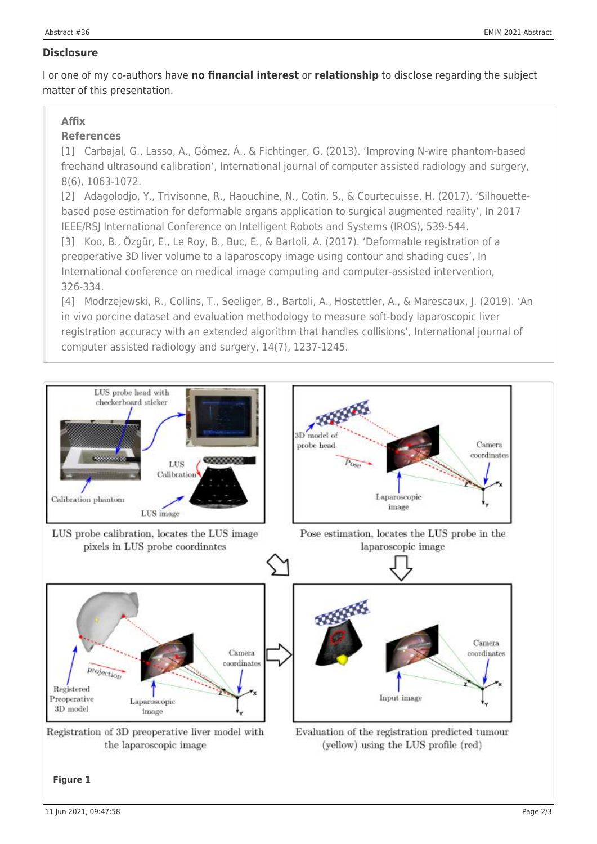### **Disclosure**

I or one of my co-authors have **no financial interest** or **relationship** to disclose regarding the subject matter of this presentation.

## **Affix**

## **References**

[1] Carbajal, G., Lasso, A., Gómez, Á., & Fichtinger, G. (2013). 'Improving N-wire phantom-based freehand ultrasound calibration', International journal of computer assisted radiology and surgery, 8(6), 1063-1072.

[2] Adagolodjo, Y., Trivisonne, R., Haouchine, N., Cotin, S., & Courtecuisse, H. (2017). 'Silhouettebased pose estimation for deformable organs application to surgical augmented reality', In 2017 IEEE/RSJ International Conference on Intelligent Robots and Systems (IROS), 539-544.

[3] Koo, B., Özgür, E., Le Roy, B., Buc, E., & Bartoli, A. (2017). 'Deformable registration of a preoperative 3D liver volume to a laparoscopy image using contour and shading cues', In International conference on medical image computing and computer-assisted intervention, 326-334.

[4] Modrzejewski, R., Collins, T., Seeliger, B., Bartoli, A., Hostettler, A., & Marescaux, J. (2019). 'An in vivo porcine dataset and evaluation methodology to measure soft-body laparoscopic liver registration accuracy with an extended algorithm that handles collisions', International journal of computer assisted radiology and surgery, 14(7), 1237-1245.



Registration of 3D preoperative liver model with the laparoscopic image

Evaluation of the registration predicted tumour (yellow) using the LUS profile (red)

#### **Figure 1**